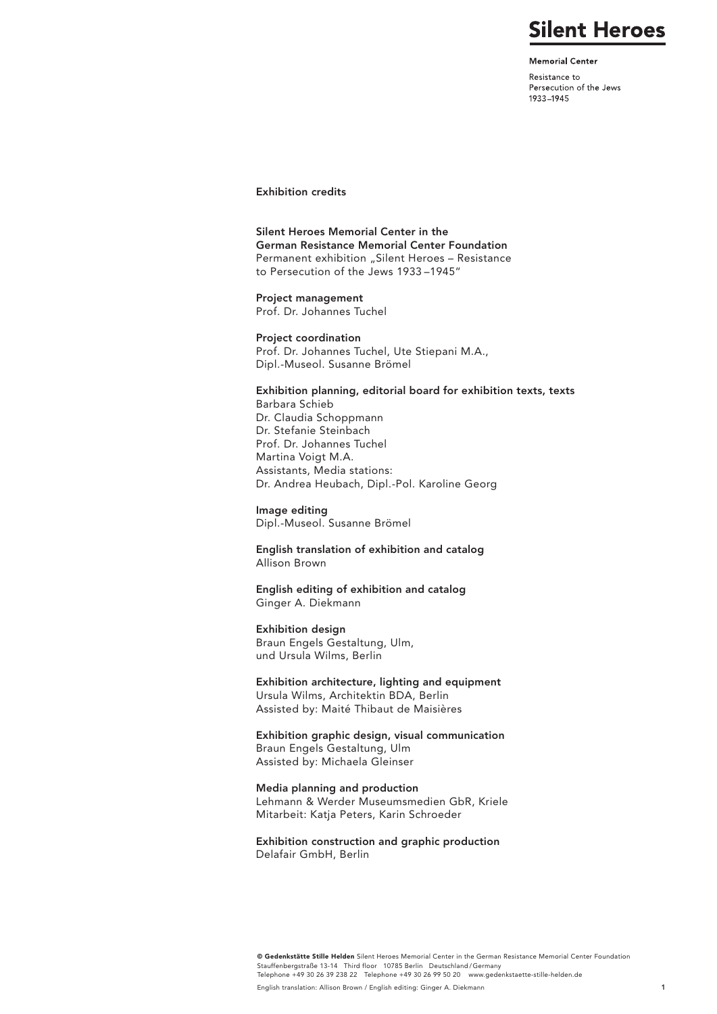# **Silent Heroes**

**Memorial Center** 

Resistance to Persecution of the Jews 1933-1945

# Exhibition credits

Silent Heroes Memorial Center in the German Resistance Memorial Center Foundation Permanent exhibition "Silent Heroes - Resistance to Persecution of the Jews 1933 –1945"

Project management Prof. Dr. Johannes Tuchel

Project coordination Prof. Dr. Johannes Tuchel, Ute Stiepani M.A., Dipl.-Museol. Susanne Brömel

#### Exhibition planning, editorial board for exhibition texts, texts

Barbara Schieb Dr. Claudia Schoppmann Dr. Stefanie Steinbach Prof. Dr. Johannes Tuchel Martina Voigt M.A. Assistants, Media stations: Dr. Andrea Heubach, Dipl.-Pol. Karoline Georg

### Image editing

Dipl.-Museol. Susanne Brömel

English translation of exhibition and catalog Allison Brown

English editing of exhibition and catalog Ginger A. Diekmann

#### Exhibition design

Braun Engels Gestaltung, Ulm, und Ursula Wilms, Berlin

Exhibition architecture, lighting and equipment Ursula Wilms, Architektin BDA, Berlin

Assisted by: Maité Thibaut de Maisières

Exhibition graphic design, visual communication Braun Engels Gestaltung, Ulm Assisted by: Michaela Gleinser

## Media planning and production

Lehmann & Werder Museumsmedien GbR, Kriele Mitarbeit: Katja Peters, Karin Schroeder

Exhibition construction and graphic production Delafair GmbH, Berlin

© Gedenkstätte Stille Helden Silent Heroes Memorial Center in the German Resistance Memorial Center Foundation Stauffenbergstraße 13-14 Third floor 10785 Berlin Deutschland/Germany<br>Telephone +49 30 26 39 238 22 Telephone +49 30 26 99 50 20 www.gedenkstaette-stille-helden.de